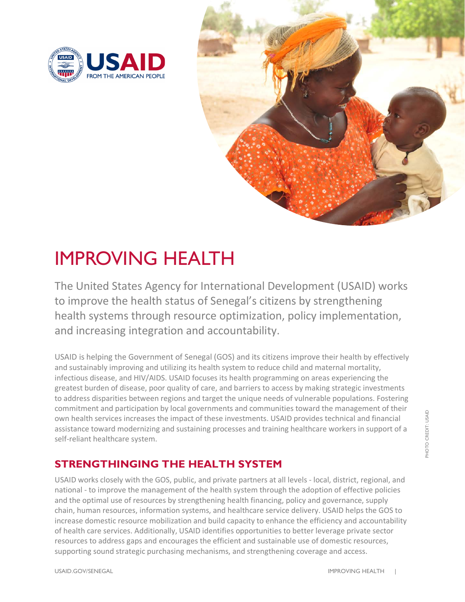



# IMPROVING HEALTH

The United States Agency for International Development (USAID) works to improve the health status of Senegal's citizens by strengthening health systems through resource optimization, policy implementation, and increasing integration and accountability.

USAID is helping the Government of Senegal (GOS) and its citizens improve their health by effectively and sustainably improving and utilizing its health system to reduce child and maternal mortality, infectious disease, and HIV/AIDS. USAID focuses its health programming on areas experiencing the greatest burden of disease, poor quality of care, and barriers to access by making strategic investments to address disparities between regions and target the unique needs of vulnerable populations. Fostering commitment and participation by local governments and communities toward the management of their own health services increases the impact of these investments. USAID provides technical and financial assistance toward modernizing and sustaining processes and training healthcare workers in support of a self-reliant healthcare system.

## **STRENGTHINGING THE HEALTH SYSTEM**

USAID works closely with the GOS, public, and private partners at all levels - local, district, regional, and national - to improve the management of the health system through the adoption of effective policies and the optimal use of resources by strengthening health financing, policy and governance, supply chain, human resources, information systems, and healthcare service delivery. USAID helps the GOS to increase domestic resource mobilization and build capacity to enhance the efficiency and accountability of health care services. Additionally, USAID identifies opportunities to better leverage private sector resources to address gaps and encourages the efficient and sustainable use of domestic resources, supporting sound strategic purchasing mechanisms, and strengthening coverage and access.